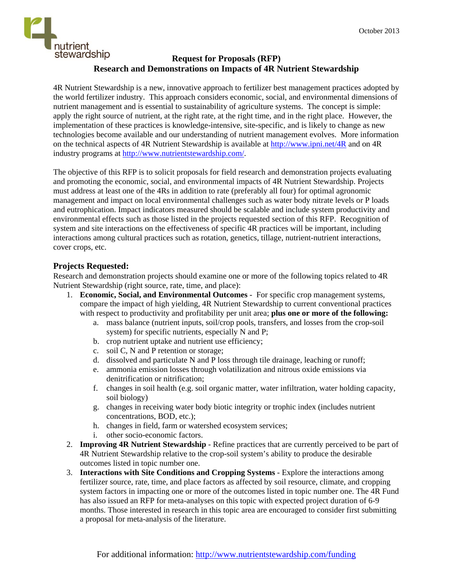

## **Request for Proposals (RFP) Research and Demonstrations on Impacts of 4R Nutrient Stewardship**

4R Nutrient Stewardship is a new, innovative approach to fertilizer best management practices adopted by the world fertilizer industry. This approach considers economic, social, and environmental dimensions of nutrient management and is essential to sustainability of agriculture systems. The concept is simple: apply the right source of nutrient, at the right rate, at the right time, and in the right place. However, the implementation of these practices is knowledge-intensive, site-specific, and is likely to change as new technologies become available and our understanding of nutrient management evolves. More information on the technical aspects of 4R Nutrient Stewardship is available at http://www.ipni.net/4R and on 4R industry programs at http://www.nutrientstewardship.com/.

The objective of this RFP is to solicit proposals for field research and demonstration projects evaluating and promoting the economic, social, and environmental impacts of 4R Nutrient Stewardship. Projects must address at least one of the 4Rs in addition to rate (preferably all four) for optimal agronomic management and impact on local environmental challenges such as water body nitrate levels or P loads and eutrophication. Impact indicators measured should be scalable and include system productivity and environmental effects such as those listed in the projects requested section of this RFP. Recognition of system and site interactions on the effectiveness of specific 4R practices will be important, including interactions among cultural practices such as rotation, genetics, tillage, nutrient-nutrient interactions, cover crops, etc.

## **Projects Requested:**

Research and demonstration projects should examine one or more of the following topics related to 4R Nutrient Stewardship (right source, rate, time, and place):

- 1. **Economic, Social, and Environmental Outcomes** For specific crop management systems, compare the impact of high yielding, 4R Nutrient Stewardship to current conventional practices with respect to productivity and profitability per unit area; **plus one or more of the following:**
	- a. mass balance (nutrient inputs, soil/crop pools, transfers, and losses from the crop-soil system) for specific nutrients, especially N and P;
	- b. crop nutrient uptake and nutrient use efficiency;
	- c. soil C, N and P retention or storage;
	- d. dissolved and particulate N and P loss through tile drainage, leaching or runoff;
	- e. ammonia emission losses through volatilization and nitrous oxide emissions via denitrification or nitrification;
	- f. changes in soil health (e.g. soil organic matter, water infiltration, water holding capacity, soil biology)
	- g. changes in receiving water body biotic integrity or trophic index (includes nutrient concentrations, BOD, etc.);
	- h. changes in field, farm or watershed ecosystem services;
	- i. other socio-economic factors.
- 2. **Improving 4R Nutrient Stewardship** Refine practices that are currently perceived to be part of 4R Nutrient Stewardship relative to the crop-soil system's ability to produce the desirable outcomes listed in topic number one.
- 3. **Interactions with Site Conditions and Cropping Systems** Explore the interactions among fertilizer source, rate, time, and place factors as affected by soil resource, climate, and cropping system factors in impacting one or more of the outcomes listed in topic number one. The 4R Fund has also issued an RFP for meta-analyses on this topic with expected project duration of 6-9 months. Those interested in research in this topic area are encouraged to consider first submitting a proposal for meta-analysis of the literature.